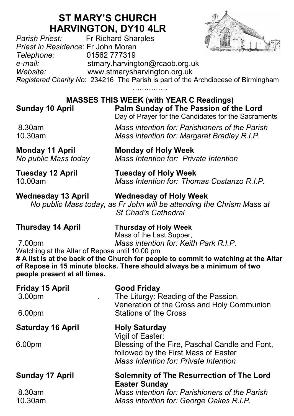# **ST MARY'S CHURCH HARVINGTON, DY10 4LR**<br>Fr Richard Sharples



*Parish Priest:* Fr Richard Sharples *Priest in Residence:* Fr John Moran *Telephone:* 01562 777319 *e-mail:* stmary.harvington@rcaob.org.uk *Website:* www.stmarysharvington.org.uk *Registered Charity No*: 234216 The Parish is part of the Archdiocese of Birmingham

…………………

|                        | <b>MASSES THIS WEEK (with YEAR C Readings)</b>                                                |
|------------------------|-----------------------------------------------------------------------------------------------|
| <b>Sunday 10 April</b> | Palm Sunday of The Passion of the Lord<br>Day of Prayer for the Candidates for the Sacraments |
| 8.30am                 | Mass intention for: Parishioners of the Parish                                                |
| 10.30am                | Mass intention for: Margaret Bradley R.I.P.                                                   |
| Monday 11 April        | <b>Monday of Holy Week</b>                                                                    |
| No public Mass today   | Mass Intention for: Private Intention                                                         |
| Tuesday 12 April       | <b>Tuesday of Holy Week</b>                                                                   |
| 10.00am                | Mass Intention for: Thomas Costanzo R.I.P.                                                    |

## **Wednesday 13 April Wednesday of Holy Week** *No public Mass today, as Fr John will be attending the Chrism Mass at*

*St Chad's Cathedral* 

| <b>Thursday 14 April</b> | <b>Thursday of Holy Week</b>          |  |
|--------------------------|---------------------------------------|--|
|                          | Mass of the Last Supper,              |  |
| 7.00pm                   | Mass intention for: Keith Park R.I.P. |  |

Watching at the Altar of Repose until 10.00 pm **# A list is at the back of the Church for people to commit to watching at the Altar of Repose in 15 minute blocks. There should always be a minimum of two people present at all times.**

| <b>Friday 15 April</b><br>3.00pm<br>6.00pm | <b>Good Friday</b><br>The Liturgy: Reading of the Passion,<br>Veneration of the Cross and Holy Communion<br><b>Stations of the Cross</b> |  |
|--------------------------------------------|------------------------------------------------------------------------------------------------------------------------------------------|--|
| <b>Saturday 16 April</b>                   | <b>Holy Saturday</b><br>Vigil of Easter:                                                                                                 |  |
| 6.00 <sub>pm</sub>                         | Blessing of the Fire, Paschal Candle and Font,<br>followed by the First Mass of Easter<br><b>Mass Intention for: Private Intention</b>   |  |
| <b>Sunday 17 April</b>                     | <b>Solemnity of The Resurrection of The Lord</b><br><b>Easter Sunday</b>                                                                 |  |
| 8.30am<br>10.30am                          | Mass intention for: Parishioners of the Parish<br>Mass intention for: George Oakes R.I.P.                                                |  |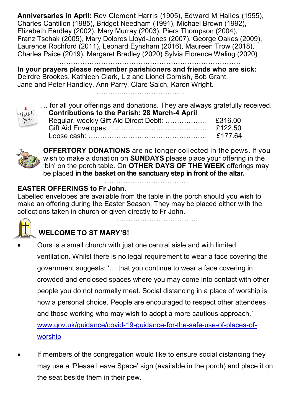**Anniversaries in April:** Rev Clement Harris (1905), Edward M Hailes (1955), Charles Cantillon (1985), Bridget Needham (1991), Michael Brown (1992), Elizabeth Eardley (2002), Mary Murray (2003), Piers Thompson (2004), Franz Tschak (2005), Mary Dolores Lloyd-Jones (2007), George Oakes (2009), Laurence Rochford (2011), Leonard Eynsham (2016), Maureen Trow (2018), Charles Paice (2019), Margaret Bradley (2020) Sylvia Florence Waling (2020)

…………………………………………………………………….

**In your prayers please remember parishioners and friends who are sick:**  Deirdre Brookes, Kathleen Clark, Liz and Lionel Cornish, Bob Grant, Jane and Peter Handley, Ann Parry, Clare Saich, Karen Wright.

………...……………………...



| $\overline{\phantom{a}}$ | for all your offerings and donations. They are always gratefully received. |         |  |
|--------------------------|----------------------------------------------------------------------------|---------|--|
| THANK<br>YOU             | <b>Contributions to the Parish: 28 March-4 April</b>                       |         |  |
|                          | Regular, weekly Gift Aid Direct Debit:                                     | £316.00 |  |
|                          |                                                                            | £122.50 |  |
|                          |                                                                            | £177.64 |  |



**OFFERTORY DONATIONS** are no longer collected in the pews. If you wish to make a donation on **SUNDAYS** please place your offering in the 'bin' on the porch table. On **OTHER DAYS OF THE WEEK** offerings may be placed **in the basket on the sanctuary step in front of the altar.** 

……………………………..

#### ……………………………… **EASTER OFFERINGS to Fr John**.

Labelled envelopes are available from the table in the porch should you wish to make an offering during the Easter Season. They may be placed either with the collections taken in church or given directly to Fr John.



## **WELCOME TO ST MARY'S!**

- Ours is a small church with just one central aisle and with limited ventilation. Whilst there is no legal requirement to wear a face covering the government suggests: '… that you continue to wear a face covering in crowded and enclosed spaces where you may come into contact with other people you do not normally meet. Social distancing in a place of worship is now a personal choice. People are encouraged to respect other attendees and those working who may wish to adopt a more cautious approach.' www.gov.uk/guidance/covid-19-guidance-for-the-safe-use-of-places-ofworship
- If members of the congregation would like to ensure social distancing they may use a 'Please Leave Space' sign (available in the porch) and place it on the seat beside them in their pew.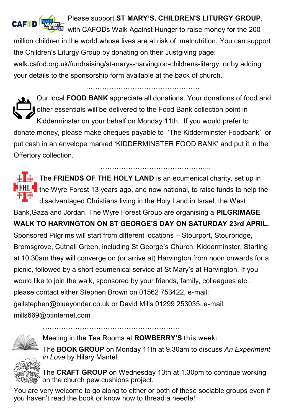

### Please support **ST MARY'S, CHILDREN'S LITURGY GROUP**,

with CAFODs Walk Against Hunger to raise money for the 200 million children in the world whose lives are at risk of malnutrition. You can support

the Children's Liturgy Group by donating on their Justgiving page:

walk.cafod.org.uk/fundraising/st-marys-harvington-childrens-litergy, or by adding your details to the sponsorship form available at the back of church.

Our local **FOOD BANK** appreciate all donations. Your donations of food and other essentials will be delivered to the Food Bank collection point in Kidderminster on your behalf on Monday 11th. If you would prefer to donate money, please make cheques payable to 'The Kidderminster Foodbank' or put cash in an envelope marked 'KIDDERMINSTER FOOD BANK' and put it in the Offertory collection.

T.

**THE The FRIENDS OF THE HOLY LAND** is an ecumenical charity, set up in **FHLF** the Wyre Forest 13 years ago, and now national, to raise funds to help the disadvantaged Christians living in the Holy Land in Israel, the West Bank,Gaza and Jordan. The Wyre Forest Group are organising a **PILGRIMAGE WALK TO HARVINGTON ON ST GEORGE'S DAY ON SATURDAY 23rd APRIL.**  Sponsored Pilgrims will start from different locations – Stourport, Stourbridge,

……………………………………………………

Bromsgrove, Cutnall Green, including St George's Church, Kidderminster. Starting at 10.30am they will converge on (or arrive at) Harvington from noon onwards for a picnic, followed by a short ecumenical service at St Mary's at Harvington. If you would like to join the walk, sponsored by your friends, family, colleagues etc ,

please contact either Stephen Brown on 01562 753422, e-mail:

gailstephen@blueyonder.co.uk or David Mills 01299 253035, e-mail: mills669@btinternet.com



Meeting in the Tea Rooms at **ROWBERRY'S** this week:

…………………………………………………..



The **BOOK GROUP** on Monday 11th at 9.30am to discuss *An Experiment in Love* by Hilary Mantel.

 $\degree$  The **CRAFT GROUP** on Wednesdav 13th at 1.30pm to continue working on the church pew cushions project.

You are very welcome to go along to either or both of these sociable groups even if you haven't read the book or know how to thread a needle!